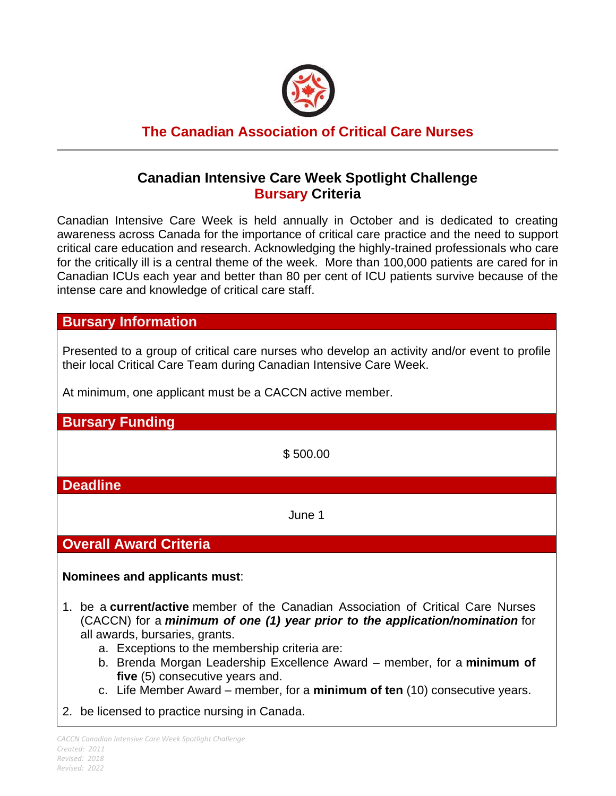

# **The Canadian Association of Critical Care Nurses**

# **Canadian Intensive Care Week Spotlight Challenge Bursary Criteria**

Canadian Intensive Care Week is held annually in October and is dedicated to creating awareness across Canada for the importance of critical care practice and the need to support critical care education and research. Acknowledging the highly-trained professionals who care for the critically ill is a central theme of the week. More than 100,000 patients are cared for in Canadian ICUs each year and better than 80 per cent of ICU patients survive because of the intense care and knowledge of critical care staff.

#### **Bursary Information**

Presented to a group of critical care nurses who develop an activity and/or event to profile their local Critical Care Team during Canadian Intensive Care Week.

At minimum, one applicant must be a CACCN active member.

**Bursary Funding**

\$ 500.00

**Deadline**

June 1

### **Overall Award Criteria**

**Nominees and applicants must**:

- 1. be a **current/active** member of the Canadian Association of Critical Care Nurses (CACCN) for a *minimum of one (1) year prior to the application/nomination* for all awards, bursaries, grants.
	- a. Exceptions to the membership criteria are:
	- b. Brenda Morgan Leadership Excellence Award member, for a **minimum of five** (5) consecutive years and.
	- c. Life Member Award member, for a **minimum of ten** (10) consecutive years.
- 2. be licensed to practice nursing in Canada.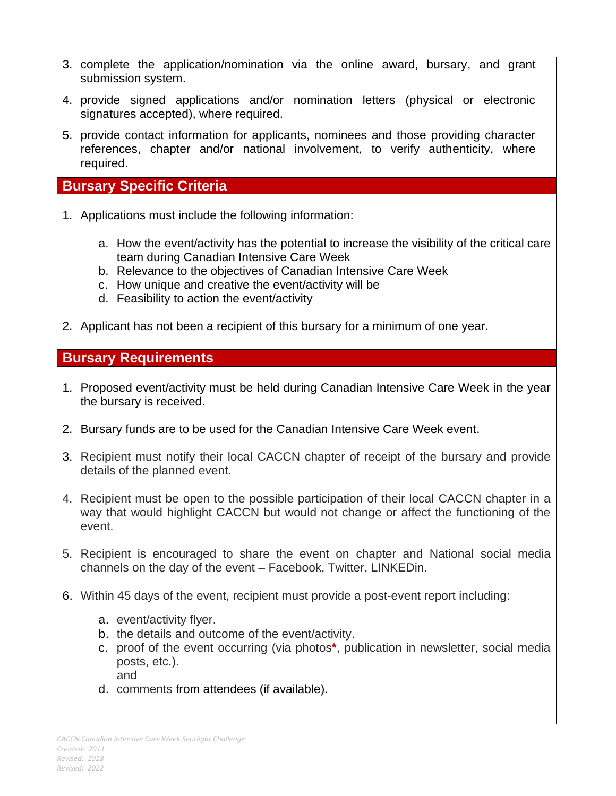- 3. complete the application/nomination via the online award, bursary, and grant submission system.
- 4. provide signed applications and/or nomination letters (physical or electronic signatures accepted), where required.
- 5. provide contact information for applicants, nominees and those providing character references, chapter and/or national involvement, to verify authenticity, where required.

### **Bursary Specific Criteria**

- 1. Applications must include the following information:
	- a. How the event/activity has the potential to increase the visibility of the critical care team during Canadian Intensive Care Week
	- b. Relevance to the objectives of Canadian Intensive Care Week
	- c. How unique and creative the event/activity will be
	- d. Feasibility to action the event/activity
- 2. Applicant has not been a recipient of this bursary for a minimum of one year.

## **Bursary Requirements**

- 1. Proposed event/activity must be held during Canadian Intensive Care Week in the year the bursary is received.
- 2. Bursary funds are to be used for the Canadian Intensive Care Week event.
- 3. Recipient must notify their local CACCN chapter of receipt of the bursary and provide details of the planned event.
- 4. Recipient must be open to the possible participation of their local CACCN chapter in a way that would highlight CACCN but would not change or affect the functioning of the event.
- 5. Recipient is encouraged to share the event on chapter and National social media channels on the day of the event – Facebook, Twitter, LINKEDin.
- 6. Within 45 days of the event, recipient must provide a post-event report including:
	- a. event/activity flyer.
	- b. the details and outcome of the event/activity.
	- c. proof of the event occurring (via photos**\***, publication in newsletter, social media posts, etc.). and
	- d. comments from attendees (if available).